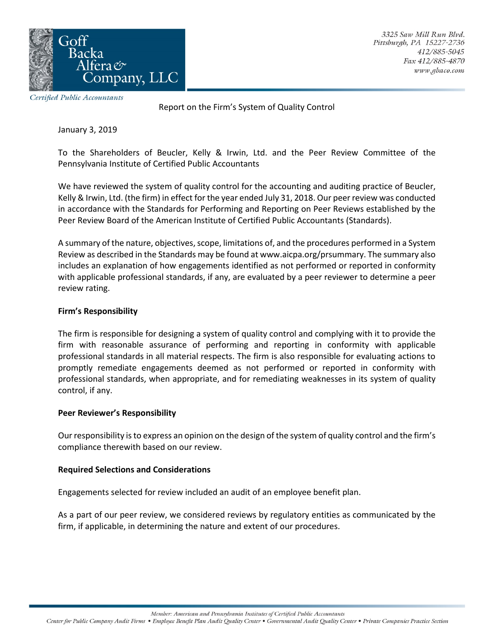

Certified Public Accountants

Report on the Firm's System of Quality Control

January 3, 2019

To the Shareholders of Beucler, Kelly & Irwin, Ltd. and the Peer Review Committee of the Pennsylvania Institute of Certified Public Accountants

We have reviewed the system of quality control for the accounting and auditing practice of Beucler, Kelly & Irwin, Ltd. (the firm) in effect for the year ended July 31, 2018. Our peer review was conducted in accordance with the Standards for Performing and Reporting on Peer Reviews established by the Peer Review Board of the American Institute of Certified Public Accountants (Standards).

A summary of the nature, objectives, scope, limitations of, and the procedures performed in a System Review as described in the Standards may be found at www.aicpa.org/prsummary. The summary also includes an explanation of how engagements identified as not performed or reported in conformity with applicable professional standards, if any, are evaluated by a peer reviewer to determine a peer review rating.

## **Firm's Responsibility**

The firm is responsible for designing a system of quality control and complying with it to provide the firm with reasonable assurance of performing and reporting in conformity with applicable professional standards in all material respects. The firm is also responsible for evaluating actions to promptly remediate engagements deemed as not performed or reported in conformity with professional standards, when appropriate, and for remediating weaknesses in its system of quality control, if any.

## **Peer Reviewer's Responsibility**

Our responsibility is to express an opinion on the design of the system of quality control and the firm's compliance therewith based on our review.

## **Required Selections and Considerations**

Engagements selected for review included an audit of an employee benefit plan.

As a part of our peer review, we considered reviews by regulatory entities as communicated by the firm, if applicable, in determining the nature and extent of our procedures.

Member: American and Pennsylvania Institutes of Certified Public Accountants

Center for Public Company Audit Firms . Employee Benefit Plan Audit Quality Center . Governmental Audit Quality Center . Private Companies Practice Section